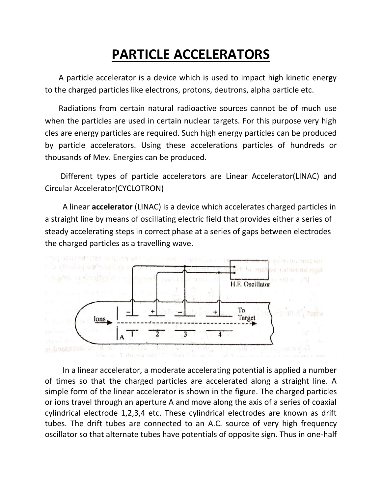# **PARTICLE ACCELERATORS**

 A particle accelerator is a device which is used to impact high kinetic energy to the charged particles like electrons, protons, deutrons, alpha particle etc.

 Radiations from certain natural radioactive sources cannot be of much use when the particles are used in certain nuclear targets. For this purpose very high cles are energy particles are required. Such high energy particles can be produced by particle accelerators. Using these accelerations particles of hundreds or thousands of Mev. Energies can be produced.

 Different types of particle accelerators are Linear Accelerator(LINAC) and Circular Accelerator(CYCLOTRON)

 A linear **accelerator** (LINAC) is a device which accelerates charged particles in a straight line by means of oscillating electric field that provides either a series of steady accelerating steps in correct phase at a series of gaps between electrodes the charged particles as a travelling wave.



 In a linear accelerator, a moderate accelerating potential is applied a number of times so that the charged particles are accelerated along a straight line. A simple form of the linear accelerator is shown in the figure. The charged particles or ions travel through an aperture A and move along the axis of a series of coaxial cylindrical electrode 1,2,3,4 etc. These cylindrical electrodes are known as drift tubes. The drift tubes are connected to an A.C. source of very high frequency oscillator so that alternate tubes have potentials of opposite sign. Thus in one-half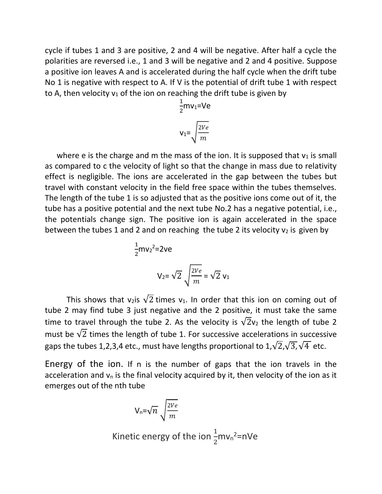cycle if tubes 1 and 3 are positive, 2 and 4 will be negative. After half a cycle the polarities are reversed i.e., 1 and 3 will be negative and 2 and 4 positive. Suppose a positive ion leaves A and is accelerated during the half cycle when the drift tube No 1 is negative with respect to A. If V is the potential of drift tube 1 with respect to A, then velocity  $v_1$  of the ion on reaching the drift tube is given by

$$
\frac{1}{2}mv_1 = Ve
$$

$$
v_1 = \sqrt{\frac{2Ve}{m}}
$$

where e is the charge and m the mass of the ion. It is supposed that  $v_1$  is small as compared to c the velocity of light so that the change in mass due to relativity effect is negligible. The ions are accelerated in the gap between the tubes but travel with constant velocity in the field free space within the tubes themselves. The length of the tube 1 is so adjusted that as the positive ions come out of it, the tube has a positive potential and the next tube No.2 has a negative potential, i.e., the potentials change sign. The positive ion is again accelerated in the space between the tubes 1 and 2 and on reaching the tube 2 its velocity  $v_2$  is given by

$$
\frac{1}{2}mv_2^2 = 2ve
$$
  

$$
V_2 = \sqrt{2} \sqrt{\frac{2Ve}{m}} = \sqrt{2} v_1
$$

This shows that v<sub>2</sub>is  $\sqrt{2}$  times v<sub>1</sub>. In order that this ion on coming out of tube 2 may find tube 3 just negative and the 2 positive, it must take the same time to travel through the tube 2. As the velocity is  $\sqrt{2}v_2$  the length of tube 2 must be  $\sqrt{2}$  times the length of tube 1. For successive accelerations in successive gaps the tubes 1,2,3,4 etc., must have lengths proportional to  $1,\sqrt{2},\sqrt{3},\sqrt{4}$  etc.

Energy of the ion. If n is the number of gaps that the ion travels in the acceleration and  $v_n$  is the final velocity acquired by it, then velocity of the ion as it emerges out of the nth tube

$$
V_n = \sqrt{n} \sqrt{\frac{2Ve}{m}}
$$

Kinetic energy of the ion  $\frac{1}{2}$ mv<sub>n</sub><sup>2</sup>=nVe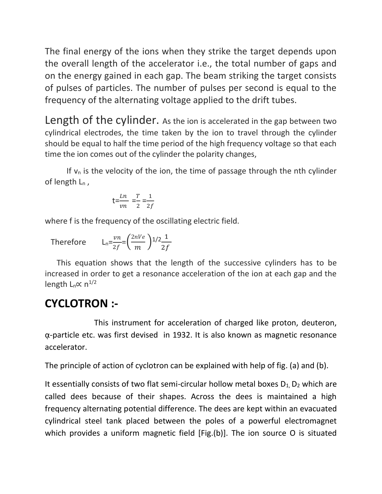The final energy of the ions when they strike the target depends upon the overall length of the accelerator i.e., the total number of gaps and on the energy gained in each gap. The beam striking the target consists of pulses of particles. The number of pulses per second is equal to the frequency of the alternating voltage applied to the drift tubes.

Length of the cylinder. As the ion is accelerated in the gap between two cylindrical electrodes, the time taken by the ion to travel through the cylinder should be equal to half the time period of the high frequency voltage so that each time the ion comes out of the cylinder the polarity changes,

If  $v_n$  is the velocity of the ion, the time of passage through the nth cylinder of length  $L_n$ ,

$$
t = \frac{Ln}{vn} = \frac{T}{2} = \frac{1}{2f}
$$

where f is the frequency of the oscillating electric field.

Therefore  $\mathcal{V}$  $rac{vn}{2f} = \left(\frac{2nVe}{m}\right)$  $\frac{nVe}{m}\bigg)$ 1/2 $\frac{1}{2f}$  $2f$ 

 This equation shows that the length of the successive cylinders has to be increased in order to get a resonance acceleration of the ion at each gap and the length L<sub>n</sub>∝ n<sup>1/2</sup>

## **CYCLOTRON :-**

 This instrument for acceleration of charged like proton, deuteron, ᾳ-particle etc. was first devised in 1932. It is also known as magnetic resonance accelerator.

The principle of action of cyclotron can be explained with help of fig. (a) and (b).

It essentially consists of two flat semi-circular hollow metal boxes  $D_1$ ,  $D_2$  which are called dees because of their shapes. Across the dees is maintained a high frequency alternating potential difference. The dees are kept within an evacuated cylindrical steel tank placed between the poles of a powerful electromagnet which provides a uniform magnetic field [Fig.(b)]. The ion source O is situated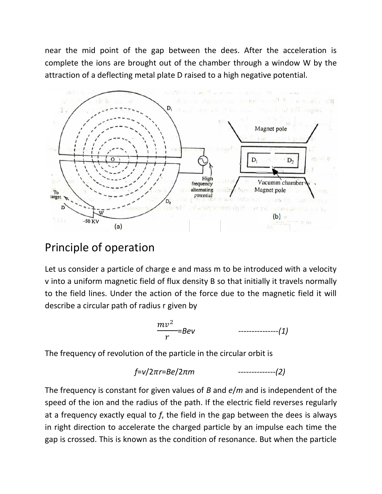near the mid point of the gap between the dees. After the acceleration is complete the ions are brought out of the chamber through a window W by the attraction of a deflecting metal plate D raised to a high negative potential.



### Principle of operation

Let us consider a particle of charge e and mass m to be introduced with a velocity v into a uniform magnetic field of flux density B so that initially it travels normally to the field lines. Under the action of the force due to the magnetic field it will describe a circular path of radius r given by

$$
\frac{mv^2}{r} = Bev \qquad \qquad \qquad \text{---} \qquad (1)
$$

The frequency of revolution of the particle in the circular orbit is

$$
f=v/2\pi r = Be/2\pi m
$$
   
   
   
 2)

The frequency is constant for given values of *B* and *e*/*m* and is independent of the speed of the ion and the radius of the path. If the electric field reverses regularly at a frequency exactly equal to *f*, the field in the gap between the dees is always in right direction to accelerate the charged particle by an impulse each time the gap is crossed. This is known as the condition of resonance. But when the particle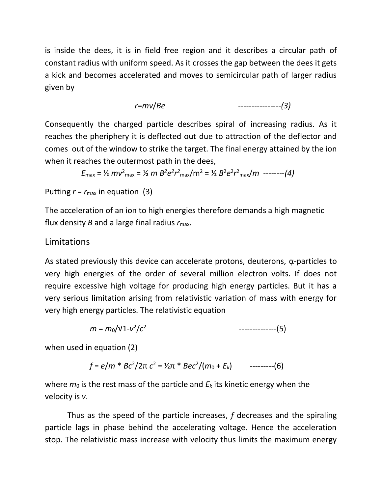is inside the dees, it is in field free region and it describes a circular path of constant radius with uniform speed. As it crosses the gap between the dees it gets a kick and becomes accelerated and moves to semicircular path of larger radius given by

*r*=*mv*/*Be ----------------(3)*

Consequently the charged particle describes spiral of increasing radius. As it reaches the pheriphery it is deflected out due to attraction of the deflector and comes out of the window to strike the target. The final energy attained by the ion when it reaches the outermost path in the dees,

$$
E_{\text{max}} = \frac{1}{2} m v^2_{\text{max}} = \frac{1}{2} m B^2 e^2 r^2_{\text{max}} / m^2 = \frac{1}{2} B^2 e^2 r^2_{\text{max}} / m \text{ ---} (4)
$$

### Putting  $r = r_{\text{max}}$  in equation (3)

The acceleration of an ion to high energies therefore demands a high magnetic flux density *B* and a large final radius *r*max.

#### Limitations

As stated previously this device can accelerate protons, deuterons,  $\alpha$ -particles to very high energies of the order of several million electron volts. If does not require excessive high voltage for producing high energy particles. But it has a very serious limitation arising from relativistic variation of mass with energy for very high energy particles. The relativistic equation

$$
m = m_0 / \sqrt{1 - v^2/c^2}
$$
 (5)

when used in equation (2)

*f* = *e*/*m* \* *Bc*<sup>2</sup> /2π *c* <sup>2</sup> = ½π \* *Bec*<sup>2</sup> /(*m*<sup>0</sup> + *Ek*) ---------(6)

where  $m_0$  is the rest mass of the particle and  $E_k$  its kinetic energy when the velocity is *v*.

Thus as the speed of the particle increases, *f* decreases and the spiraling particle lags in phase behind the accelerating voltage. Hence the acceleration stop. The relativistic mass increase with velocity thus limits the maximum energy